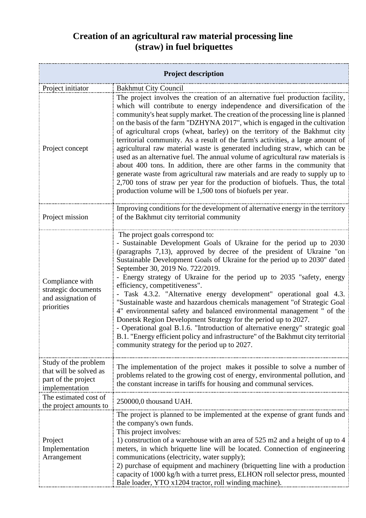## **Creation of an agricultural raw material processing line (straw) in fuel briquettes**

| <b>Project description</b>                                                              |                                                                                                                                                                                                                                                                                                                                                                                                                                                                                                                                                                                                                                                                                                                                                                                                                                                                                                                                                                      |  |
|-----------------------------------------------------------------------------------------|----------------------------------------------------------------------------------------------------------------------------------------------------------------------------------------------------------------------------------------------------------------------------------------------------------------------------------------------------------------------------------------------------------------------------------------------------------------------------------------------------------------------------------------------------------------------------------------------------------------------------------------------------------------------------------------------------------------------------------------------------------------------------------------------------------------------------------------------------------------------------------------------------------------------------------------------------------------------|--|
| Project initiator                                                                       | <b>Bakhmut City Council</b>                                                                                                                                                                                                                                                                                                                                                                                                                                                                                                                                                                                                                                                                                                                                                                                                                                                                                                                                          |  |
| Project concept                                                                         | The project involves the creation of an alternative fuel production facility,<br>which will contribute to energy independence and diversification of the<br>community's heat supply market. The creation of the processing line is planned<br>on the basis of the farm "DZHYNA 2017", which is engaged in the cultivation<br>of agricultural crops (wheat, barley) on the territory of the Bakhmut city<br>territorial community. As a result of the farm's activities, a large amount of<br>agricultural raw material waste is generated including straw, which can be<br>used as an alternative fuel. The annual volume of agricultural raw materials is<br>about 400 tons. In addition, there are other farms in the community that<br>generate waste from agricultural raw materials and are ready to supply up to<br>2,700 tons of straw per year for the production of biofuels. Thus, the total<br>production volume will be 1,500 tons of biofuels per year. |  |
| Project mission                                                                         | Improving conditions for the development of alternative energy in the territory<br>of the Bakhmut city territorial community                                                                                                                                                                                                                                                                                                                                                                                                                                                                                                                                                                                                                                                                                                                                                                                                                                         |  |
| Compliance with<br>strategic documents<br>and assignation of<br>priorities              | The project goals correspond to:<br>- Sustainable Development Goals of Ukraine for the period up to 2030<br>(paragraphs 7,13), approved by decree of the president of Ukraine "on<br>Sustainable Development Goals of Ukraine for the period up to 2030" dated<br>September 30, 2019 No. 722/2019.<br>- Energy strategy of Ukraine for the period up to 2035 "safety, energy<br>efficiency, competitiveness".<br>Task 4.3.2. "Alternative energy development" operational goal 4.3.<br>"Sustainable waste and hazardous chemicals management "of Strategic Goal<br>4" environmental safety and balanced environmental management " of the<br>Donetsk Region Development Strategy for the period up to 2027.<br>- Operational goal B.1.6. "Introduction of alternative energy" strategic goal<br>B.1. "Energy efficient policy and infrastructure" of the Bakhmut city territorial<br>community strategy for the period up to 2027.                                   |  |
| Study of the problem<br>that will be solved as<br>part of the project<br>implementation | The implementation of the project makes it possible to solve a number of<br>problems related to the growing cost of energy, environmental pollution, and<br>the constant increase in tariffs for housing and communal services.                                                                                                                                                                                                                                                                                                                                                                                                                                                                                                                                                                                                                                                                                                                                      |  |
| The estimated cost of<br>the project amounts to                                         | 250000,0 thousand UAH.                                                                                                                                                                                                                                                                                                                                                                                                                                                                                                                                                                                                                                                                                                                                                                                                                                                                                                                                               |  |
| Project<br>Implementation<br>Arrangement                                                | The project is planned to be implemented at the expense of grant funds and<br>the company's own funds.<br>This project involves:<br>1) construction of a warehouse with an area of 525 m2 and a height of up to 4<br>meters, in which briquette line will be located. Connection of engineering<br>communications (electricity, water supply);<br>2) purchase of equipment and machinery (briquetting line with a production<br>capacity of 1000 kg/h with a turret press, ELHON roll selector press, mounted<br>Bale loader, YTO x1204 tractor, roll winding machine).                                                                                                                                                                                                                                                                                                                                                                                              |  |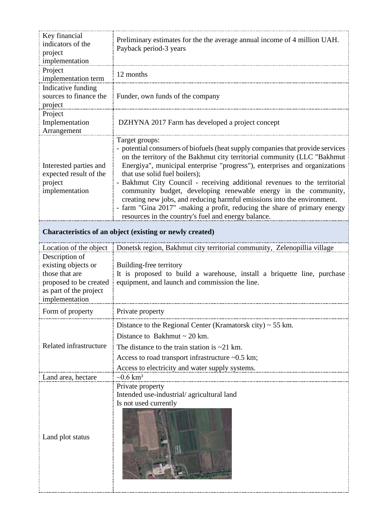| Key financial<br>indicators of the<br>project<br>implementation                                                               | Preliminary estimates for the the average annual income of 4 million UAH.<br>Payback period-3 years                                                                                                                                                                                                                                                                                                                                                                                                                                                                                                                                                        |
|-------------------------------------------------------------------------------------------------------------------------------|------------------------------------------------------------------------------------------------------------------------------------------------------------------------------------------------------------------------------------------------------------------------------------------------------------------------------------------------------------------------------------------------------------------------------------------------------------------------------------------------------------------------------------------------------------------------------------------------------------------------------------------------------------|
| Project<br>implementation term                                                                                                | 12 months                                                                                                                                                                                                                                                                                                                                                                                                                                                                                                                                                                                                                                                  |
| Indicative funding<br>sources to finance the<br>project                                                                       | Funder, own funds of the company                                                                                                                                                                                                                                                                                                                                                                                                                                                                                                                                                                                                                           |
| Project<br>Implementation<br>Arrangement                                                                                      | DZHYNA 2017 Farm has developed a project concept                                                                                                                                                                                                                                                                                                                                                                                                                                                                                                                                                                                                           |
| Interested parties and<br>expected result of the<br>project<br>implementation                                                 | Target groups:<br>- potential consumers of biofuels (heat supply companies that provide services<br>on the territory of the Bakhmut city territorial community (LLC "Bakhmut<br>Energiya", municipal enterprise "progress"), enterprises and organizations<br>that use solid fuel boilers);<br>- Bakhmut City Council - receiving additional revenues to the territorial<br>community budget, developing renewable energy in the community,<br>creating new jobs, and reducing harmful emissions into the environment.<br>- farm "Gina 2017" -making a profit, reducing the share of primary energy<br>resources in the country's fuel and energy balance. |
| Characteristics of an object (existing or newly created)                                                                      |                                                                                                                                                                                                                                                                                                                                                                                                                                                                                                                                                                                                                                                            |
| Description of<br>existing objects or<br>those that are<br>proposed to be created<br>as part of the project<br>implementation | Location of the object   Donetsk region, Bakhmut city territorial community, Zelenopillia village<br>Building-free territory<br>It is proposed to build a warehouse, install a briquette line, purchase<br>equipment, and launch and commission the line.                                                                                                                                                                                                                                                                                                                                                                                                  |
| Form of property                                                                                                              | Private property                                                                                                                                                                                                                                                                                                                                                                                                                                                                                                                                                                                                                                           |
| Related infrastructure                                                                                                        | Distance to the Regional Center (Kramatorsk city) $\sim$ 55 km.<br>Distance to Bakhmut $\sim$ 20 km.<br>The distance to the train station is $\sim$ 21 km.<br>Access to road transport infrastructure ~0.5 km;<br>Access to electricity and water supply systems.                                                                                                                                                                                                                                                                                                                                                                                          |
| Land area, hectare                                                                                                            | $-0.6 \text{ km}^2$                                                                                                                                                                                                                                                                                                                                                                                                                                                                                                                                                                                                                                        |
| Land plot status                                                                                                              | Private property<br>Intended use-industrial/agricultural land<br>Is not used currently                                                                                                                                                                                                                                                                                                                                                                                                                                                                                                                                                                     |